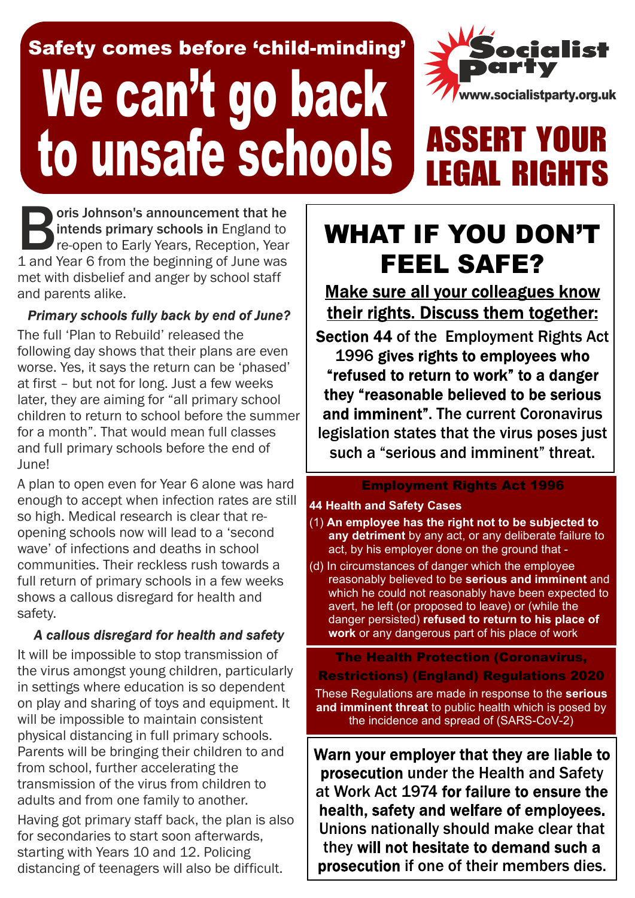# **Safety comes before 'child-minding' We can't go back to unsafe schools**



## SSERT YOUR LEGAL RIGHTS

**BERN FROM STATE CONTROLLED STATE CONTROLLED STATE CONTROLLED AND THE CONTROLLED STATE OF STATE 1 and Year 6 from the beginning of June was** oris Johnson's announcement that he intends primary schools in England to re-open to Early Years, Reception, Year met with disbelief and anger by school staff and parents alike.

#### Primary schools fully back by end of June?

The full 'Plan to Rebuild' released the following day shows that their plans are even worse. Yes, it says the return can be 'phased' at first – but not for long. Just a few weeks later, they are aiming for "all primary school children to return to school before the summer for a month". That would mean full classes and full primary schools before the end of June!

A plan to open even for Year 6 alone was hard enough to accept when infection rates are still so high. Medical research is clear that reopening schools now will lead to a 'second wave' of infections and deaths in school communities. Their reckless rush towards a full return of primary schools in a few weeks shows a callous disregard for health and safety.

#### A callous disregard for health and safety

It will be impossible to stop transmission of the virus amongst young children, particularly in settings where education is so dependent on play and sharing of toys and equipment. It will be impossible to maintain consistent physical distancing in full primary schools. Parents will be bringing their children to and from school, further accelerating the transmission of the virus from children to adults and from one family to another.

Having got primary staff back, the plan is also for secondaries to start soon afterwards, starting with Years 10 and 12. Policing distancing of teenagers will also be difficult.

### **WHAT IF YOU DON'T FEEL SAFE?**

**Make sure all your colleagues know** their rights. Discuss them together: Section 44 of the Employment Rights Act 1996 gives rights to employees who "refused to return to work" to a danger they "reasonable believed to be serious and imminent". The current Coronavirus legislation states that the virus poses just such a "serious and imminent" threat.

#### **Employment Rights Act 1996**

#### **44 Health and Safety Cases**

- (1) **An employee has the right not to be subjected to any detriment** by any act, or any deliberate failure to act, by his employer done on the ground that -
- (d) In circumstances of danger which the employee reasonably believed to be **serious and imminent** and which he could not reasonably have been expected to avert, he left (or proposed to leave) or (while the danger persisted) **refused to return to his place of work** or any dangerous part of his place of work

#### **The Health Protection (Coronavirus, Restrictions) (England) Regulations 2020**

These Regulations are made in response to the **serious and imminent threat** to public health which is posed by the incidence and spread of (SARS-CoV-2)

Warn your employer that they are liable to prosecution under the Health and Safety at Work Act 1974 health, safety and welfare of employees. Unions nationally should make clear that they will not hesitate to demand such a prosecution if one of their members dies.